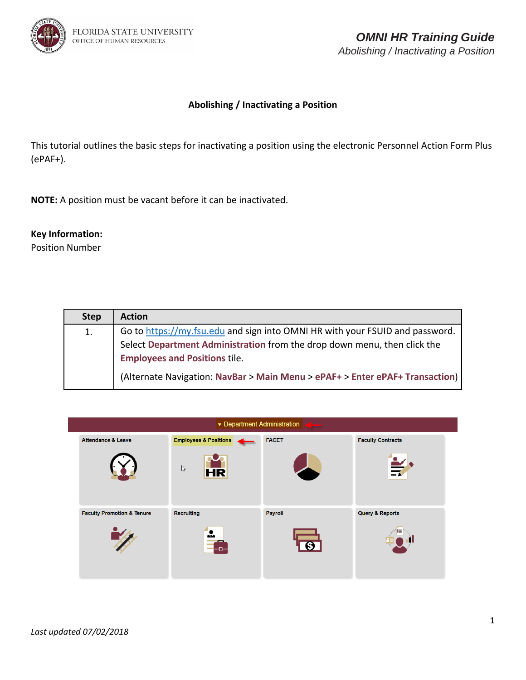

This tutorial outlines the basic steps for inactivating a position using the electronic Personnel Action Form Plus (ePAF+).

**NOTE:** A position must be vacant before it can be inactivated.

## **Key Information:**

Position Number

| <b>Step</b> | <b>Action</b>                                                                |
|-------------|------------------------------------------------------------------------------|
| 1.          | Go to https://my.fsu.edu and sign into OMNI HR with your FSUID and password. |
|             | Select Department Administration from the drop down menu, then click the     |
|             | <b>Employees and Positions tile.</b>                                         |
|             | (Alternate Navigation: NavBar > Main Menu > ePAF+ > Enter ePAF+ Transaction) |

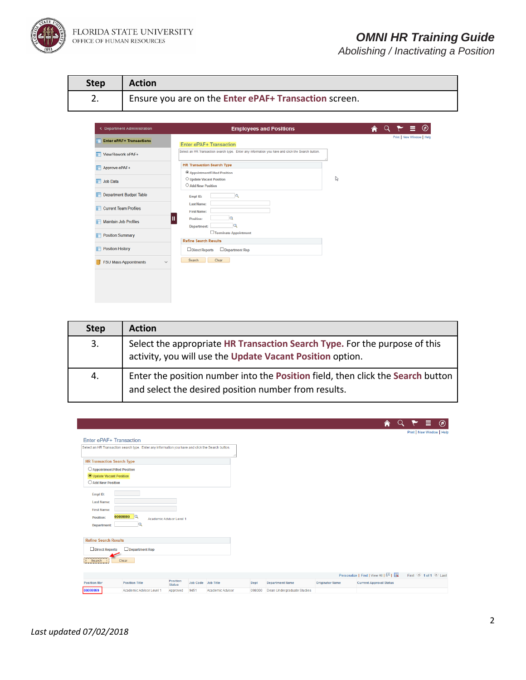

| <b>Step</b> | <b>Action</b>                                         |
|-------------|-------------------------------------------------------|
|             | Ensure you are on the Enter ePAF+ Transaction screen. |

| <b>C</b> Department Administration           | <b>Employees and Positions</b>                                                                    | $\circledcirc$<br>Ξ.      |
|----------------------------------------------|---------------------------------------------------------------------------------------------------|---------------------------|
| <b>Enter ePAF+ Transactions</b>              | Enter ePAF+ Transaction                                                                           | Print   New Window   Help |
| View/Rework ePAF+                            | Select an HR Transaction search type. Enter any information you have and click the Search button. |                           |
| Approve ePAF+                                | <b>HR Transaction Search Type</b>                                                                 |                           |
| <b>T</b> Job Data                            | <sup>5</sup> Appointment/Filled Position<br>O Update Vacant Position<br>O Add New Position        | ₿                         |
| <b>Department Budget Table</b>               | G<br>Empl ID:                                                                                     |                           |
| Current Team Profiles                        | <b>Last Name:</b><br><b>First Name:</b>                                                           |                           |
| Maintain Job Profiles                        | Position:<br>a<br><b>Department:</b>                                                              |                           |
| <b>Position Summary</b>                      | □ Terminate Appointment<br><b>Refine Search Results</b>                                           |                           |
| <b>Position History</b>                      | Direct Reports<br>Department Rep                                                                  |                           |
| <b>FSU Mass Appointments</b><br>$\checkmark$ | Clear<br>Search                                                                                   |                           |
|                                              |                                                                                                   |                           |
|                                              |                                                                                                   |                           |

| <b>Step</b> | <b>Action</b>                                                                                                                           |
|-------------|-----------------------------------------------------------------------------------------------------------------------------------------|
| 3.          | Select the appropriate HR Transaction Search Type. For the purpose of this<br>activity, you will use the Update Vacant Position option. |
| 4.          | Enter the position number into the Position field, then click the Search button<br>and select the desired position number from results. |

|                                                                                                   |                  |                                      |                        | A<br>$\alpha$                                             | =<br>$\circledcirc$       |
|---------------------------------------------------------------------------------------------------|------------------|--------------------------------------|------------------------|-----------------------------------------------------------|---------------------------|
|                                                                                                   |                  |                                      |                        |                                                           | Print   New Window   Help |
| Enter ePAF+ Transaction                                                                           |                  |                                      |                        |                                                           |                           |
| Select an HR Transaction search type. Enter any information you have and click the Search button. |                  |                                      |                        |                                                           |                           |
|                                                                                                   |                  |                                      |                        |                                                           |                           |
| <b>HR Transaction Search Type</b>                                                                 |                  |                                      |                        |                                                           |                           |
| ○ Appointment/Filled Position                                                                     |                  |                                      |                        |                                                           |                           |
| <b>O</b> Update Vacant Position                                                                   |                  |                                      |                        |                                                           |                           |
| ○ Add New Position                                                                                |                  |                                      |                        |                                                           |                           |
| Empl ID:                                                                                          |                  |                                      |                        |                                                           |                           |
| <b>Last Name:</b>                                                                                 |                  |                                      |                        |                                                           |                           |
| <b>First Name:</b>                                                                                |                  |                                      |                        |                                                           |                           |
| lQ<br>00099999<br><b>Position:</b>                                                                |                  |                                      |                        |                                                           |                           |
| Academic Advisor Level 1<br>$\alpha$                                                              |                  |                                      |                        |                                                           |                           |
| <b>Department:</b>                                                                                |                  |                                      |                        |                                                           |                           |
|                                                                                                   |                  |                                      |                        |                                                           |                           |
| <b>Refine Search Results</b>                                                                      |                  |                                      |                        |                                                           |                           |
| $\Box$ Direct Reports<br>$\Box$ Department Rep                                                    |                  |                                      |                        |                                                           |                           |
| Clear<br>Search                                                                                   |                  |                                      |                        |                                                           |                           |
|                                                                                                   |                  |                                      |                        |                                                           |                           |
|                                                                                                   |                  |                                      |                        | Personalize   Find   View All   $\boxed{2}$   $\boxed{4}$ | First 1 of 1 2 Last       |
| Position<br><b>Position Title</b><br>Job Code Job Title<br><b>Position Nbr</b><br><b>Status</b>   | Dept             | <b>Department Name</b>               | <b>Originator Name</b> | <b>Current Approval Status</b>                            |                           |
| 00099999<br>Academic Advisor Level 1<br>9451<br>Approved                                          | Academic Advisor | Dean Undergraduate Studies<br>098000 |                        |                                                           |                           |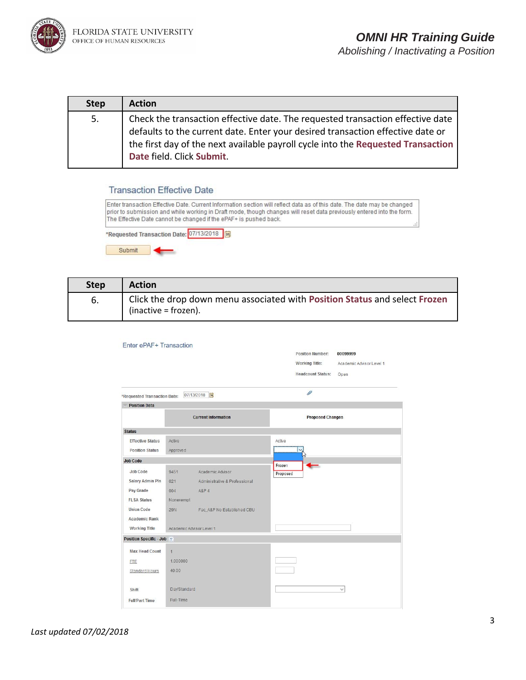

| <b>Step</b> | <b>Action</b>                                                                                                                                                                                                                                                                     |
|-------------|-----------------------------------------------------------------------------------------------------------------------------------------------------------------------------------------------------------------------------------------------------------------------------------|
| 5.          | Check the transaction effective date. The requested transaction effective date<br>defaults to the current date. Enter your desired transaction effective date or<br>the first day of the next available payroll cycle into the Requested Transaction<br>Date field. Click Submit. |

## **Transaction Effective Date**

Enter transaction Effective Date. Current Information section will reflect data as of this date. The date may be changed prior to submission and while working in Draft mode, though changes will reset data previously entered into the form. The Effective Date cannot be changed if the ePAF+ is pushed back. \*Requested Transaction Date: 07/13/2018 |3 Submit

| <b>Step</b> | <b>Action</b>                                                                                      |
|-------------|----------------------------------------------------------------------------------------------------|
| 6.          | Click the drop down menu associated with Position Status and select Frozen<br>(inactive = frozen). |

| Enter ePAF+ Transaction      |                |                               |                    |                          |                          |
|------------------------------|----------------|-------------------------------|--------------------|--------------------------|--------------------------|
|                              |                |                               |                    | <b>Position Number:</b>  | 00099999                 |
|                              |                |                               |                    | <b>Working Title:</b>    | Academic Advisor Level 1 |
|                              |                |                               |                    | <b>Headcount Status:</b> | Open                     |
| *Requested Transaction Date: |                | 07/13/2018                    |                    | 0                        |                          |
| <b>Position Data</b>         |                |                               |                    |                          |                          |
|                              |                | <b>Current Information</b>    |                    | <b>Proposed Changes</b>  |                          |
| <b>Status</b>                |                |                               |                    |                          |                          |
| <b>Effective Status</b>      | Active         |                               | Active             |                          |                          |
| <b>Position Status</b>       | Approved       |                               |                    |                          |                          |
| <b>Job Code</b>              |                |                               |                    |                          |                          |
| Job Code                     | 9451           | Academic Advisor              | Frozen<br>Proposed |                          |                          |
| <b>Salary Admin Pln</b>      | 021            | Administrative & Professional |                    |                          |                          |
| Pay Grade                    | 004            | <b>A&amp;P 4</b>              |                    |                          |                          |
| <b>FLSA Status</b>           | Nonexempt      |                               |                    |                          |                          |
| <b>Union Code</b>            | <b>29N</b>     | Fac_A&P No Established CBU    |                    |                          |                          |
| <b>Academic Rank</b>         |                |                               |                    |                          |                          |
| <b>Working Title</b>         |                | Academic Advisor Level 1      |                    |                          |                          |
| Position Specific - Job      |                |                               |                    |                          |                          |
| <b>Max Head Count</b>        | $\overline{1}$ |                               |                    |                          |                          |
| <b>FTE</b>                   | 1.000000       |                               |                    |                          |                          |
| Standard Hours               | 40.00          |                               |                    |                          |                          |
|                              |                |                               |                    |                          |                          |
| Shift                        | Day/Standard   |                               |                    |                          | $\checkmark$             |
| <b>Full/Part Time</b>        | Full-Time      |                               |                    |                          |                          |
|                              |                |                               |                    |                          |                          |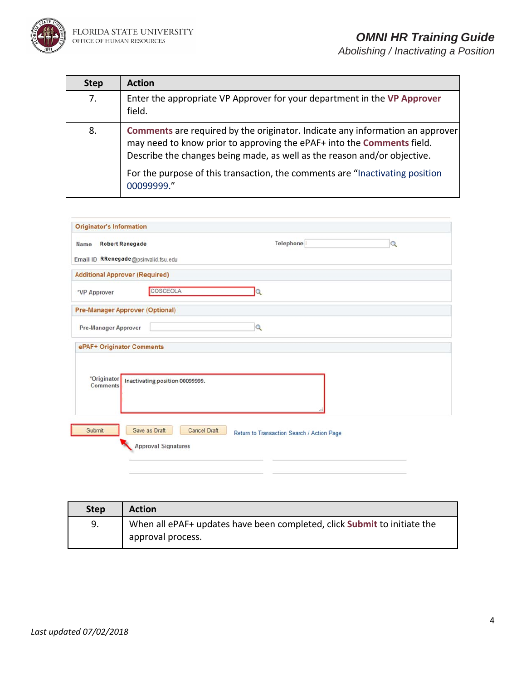

| <b>Step</b> | <b>Action</b>                                                                                                                                                                                                                       |
|-------------|-------------------------------------------------------------------------------------------------------------------------------------------------------------------------------------------------------------------------------------|
| 7.          | Enter the appropriate VP Approver for your department in the VP Approver<br>field.                                                                                                                                                  |
| 8.          | Comments are required by the originator. Indicate any information an approver<br>may need to know prior to approving the ePAF+ into the Comments field.<br>Describe the changes being made, as well as the reason and/or objective. |
|             | For the purpose of this transaction, the comments are "Inactivating position                                                                                                                                                        |

| <b>Originator's Information</b> |                                                                    |                                            |          |
|---------------------------------|--------------------------------------------------------------------|--------------------------------------------|----------|
| Name                            | <b>Robert Renegade</b>                                             | Telephone                                  | $\alpha$ |
|                                 | Email ID RRenegade@psinvalid.fsu.edu                               |                                            |          |
|                                 | <b>Additional Approver (Required)</b>                              |                                            |          |
| "VP Approver                    | COSCEOLA                                                           |                                            |          |
|                                 | <b>Pre-Manager Approver (Optional)</b>                             |                                            |          |
| Pre-Manager Approver            |                                                                    | $\Omega$                                   |          |
| ePAF+ Originator Comments       |                                                                    |                                            |          |
| *Originator<br>Comments         | Inactivating position 00099999.                                    |                                            |          |
| Submit                          | Save as Draft<br><b>Cancel Draft</b><br><b>Approval Signatures</b> | Return to Transaction Search / Action Page |          |

| <b>Step</b> | <b>Action</b>                                                            |
|-------------|--------------------------------------------------------------------------|
| 9.          | When all ePAF+ updates have been completed, click Submit to initiate the |
|             | approval process.                                                        |